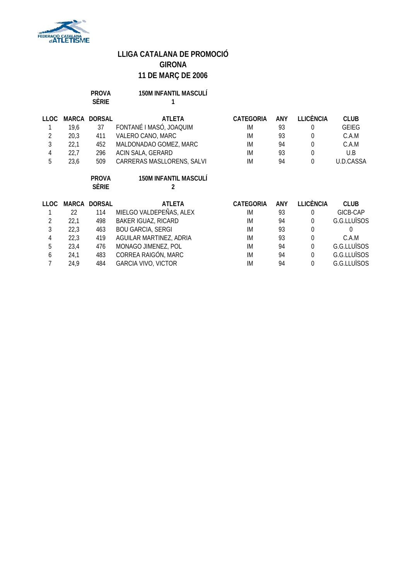

### **PROVA 150M INFANTIL MASCULÍ SÈRIE 1**

| LLOC.          | MARCA | <b>DORSAL</b>       | ATLETA                       | <b>CATEGORIA</b> | <b>ANY</b> | <b>LLICÈNCIA</b> | <b>CLUB</b>  |
|----------------|-------|---------------------|------------------------------|------------------|------------|------------------|--------------|
|                | 19.6  | 37                  | FONTANÉ I MASÓ, JOAQUIM      | IM               | 93         | $\Omega$         | <b>GEIEG</b> |
| 2              | 20,3  | 411                 | VALERO CANO, MARC            | <b>IM</b>        | 93         | 0                | C.A.M        |
| 3              | 22,1  | 452                 | MALDONADAO GOMEZ, MARC       | <b>IM</b>        | 94         | 0                | C.A.M        |
| 4              | 22,7  | 296                 | ACIN SALA, GERARD            | <b>IM</b>        | 93         | $\Omega$         | U.B          |
| 5              | 23,6  | 509                 | CARRERAS MASLLORENS, SALVI   | IM               | 94         | $\Omega$         | U.D.CASSA    |
|                |       | <b>PROVA</b>        | <b>150M INFANTIL MASCULÍ</b> |                  |            |                  |              |
|                |       | <b>SÈRIE</b>        |                              |                  |            |                  |              |
|                |       |                     |                              |                  |            |                  |              |
| LLOC.          |       | <b>MARCA DORSAL</b> | <b>ATLETA</b>                | CATEGORIA        | ANY        | <b>LLICÈNCIA</b> | <b>CLUB</b>  |
|                | 22    | 114                 | MIELGO VALDEPEÑAS, ALEX      | IM               | 93         | $\Omega$         | GICB-CAP     |
| $\overline{2}$ | 22,1  | 498                 | <b>BAKER IGUAZ, RICARD</b>   | <b>IM</b>        | 94         | $\Omega$         | G.G.LLUÏSOS  |
| 3              | 22,3  | 463                 | <b>BOU GARCIA, SERGI</b>     | IM               | 93         | $\theta$         |              |
| 4              | 22,3  | 419                 | AGUILAR MARTINEZ, ADRIA      | IM               | 93         | 0                | C.A.M        |
| 5              | 23,4  | 476                 | MONAGO JIMENEZ, POL          | <b>IM</b>        | 94         | $\Omega$         | G.G.LLUÏSOS  |
| 6              | 24,1  | 483                 | CORREA RAIGÓN, MARC          | <b>IM</b>        | 94         | $\Omega$         | G.G.LLUÏSOS  |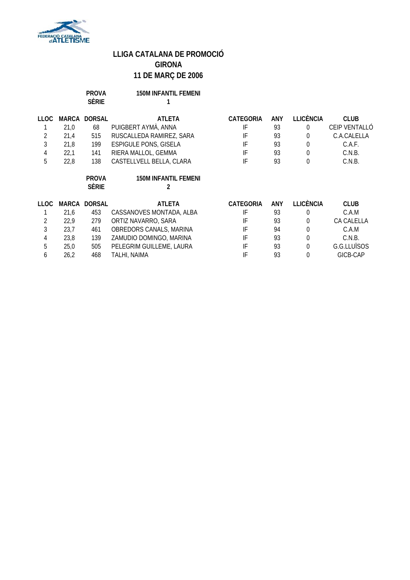

**PROVA 150M INFANTIL FEMENI**

|             |              | <b>SÈRIE</b>                 |                                  |                  |            |                  |               |
|-------------|--------------|------------------------------|----------------------------------|------------------|------------|------------------|---------------|
| <b>LLOC</b> | <b>MARCA</b> | <b>DORSAL</b>                | <b>ATLETA</b>                    | CATEGORIA        | <b>ANY</b> | <b>LLICÈNCIA</b> | <b>CLUB</b>   |
|             | 21,0         | 68                           | PUIGBERT AYMÀ, ANNA              | IF               | 93         | $\Omega$         | CEIP VENTALLÓ |
| 2           | 21,4         | 515                          | RUSCALLEDA RAMIREZ, SARA         | IF               | 93         | $\theta$         | C.A.CALELLA   |
| 3           | 21,8         | 199                          | <b>ESPIGULE PONS, GISELA</b>     | IF               | 93         | $\theta$         | C.A.F.        |
| 4           | 22,1         | 141                          | RIERA MALLOL, GEMMA              | IF               | 93         | $\mathbf 0$      | C.N.B.        |
| 5           | 22,8         | 138                          | CASTELLVELL BELLA, CLARA         | IF               | 93         | $\mathbf 0$      | C.N.B.        |
|             |              | <b>PROVA</b><br><b>SÈRIE</b> | <b>150M INFANTIL FEMENI</b><br>2 |                  |            |                  |               |
| <b>LLOC</b> | MARCA        | <b>DORSAL</b>                | <b>ATLETA</b>                    | <b>CATEGORIA</b> | <b>ANY</b> | <b>LLICÈNCIA</b> | <b>CLUB</b>   |
|             | 21,6         | 453                          | CASSANOVES MONTADA, ALBA         | IF               | 93         | $\theta$         | C.A.M         |
| 2           | 22,9         | 279                          | ORTIZ NAVARRO, SARA              | IF               | 93         | $\theta$         | CA CALELLA    |
| 3           | 23,7         | 461                          | OBREDORS CANALS, MARINA          | IF               | 94         | $\mathbf 0$      | C.A.M         |
| 4           | 23,8         | 139                          | ZAMUDIO DOMINGO, MARINA          | IF               | 93         | $\theta$         | C.N.B.        |
| 5           | 25,0         | 505                          | PELEGRIM GUILLEME, LAURA         | IF               | 93         | $\theta$         | G.G.LLUÏSOS   |
| 6           | 26,2         | 468                          | TALHI, NAIMA                     | IF               | 93         | $\Omega$         | GICB-CAP      |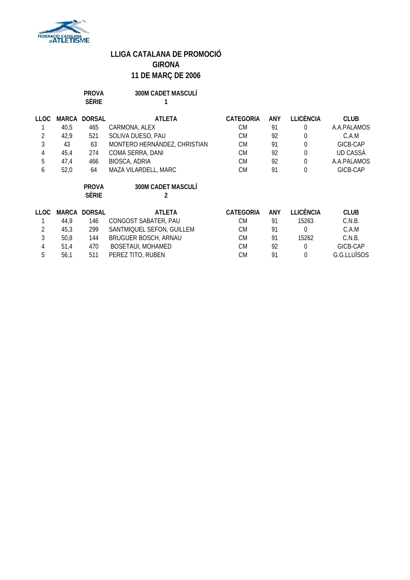

| PROVA        | <b>300M CADET MASCULÍ</b> |
|--------------|---------------------------|
| <b>SÈRIE</b> |                           |

| <b>LLOC</b> | MARCA | <b>DORSAL</b> | <b>ATLETA</b>                | <b>CATEGORIA</b> | ANY        | LLICÈNCIA        | <b>CLUB</b>     |
|-------------|-------|---------------|------------------------------|------------------|------------|------------------|-----------------|
|             | 40,5  | 465           | CARMONA, ALEX                | <b>CM</b>        | 91         | $\Omega$         | A.A.PALAMOS     |
| 2           | 42,9  | 521           | SOLIVA DUESO, PAU            | <b>CM</b>        | 92         | 0                | C.A.M           |
| 3           | 43    | 63            | MONTERO HERNÁNDEZ, CHRISTIAN | <b>CM</b>        | 91         | $\theta$         | GICB-CAP        |
| 4           | 45,4  | 274           | COMA SERRA, DANI             | <b>CM</b>        | 92         | $\mathbf 0$      | <b>UD CASSA</b> |
| 5           | 47,4  | 466           | <b>BIOSCA, ADRIA</b>         | <b>CM</b>        | 92         | $\boldsymbol{0}$ | A.A.PALAMOS     |
| 6           | 52,0  | 64            | MAZA VILARDELL, MARC         | <b>CM</b>        | 91         | $\mathbf 0$      | GICB-CAP        |
|             |       | <b>PROVA</b>  | 300M CADET MASCULÍ           |                  |            |                  |                 |
|             |       | <b>SÈRIE</b>  |                              |                  |            |                  |                 |
| LLOC.       | MARCA | <b>DORSAL</b> | <b>ATLETA</b>                | <b>CATEGORIA</b> | <b>ANY</b> | <b>LLICÈNCIA</b> | <b>CLUB</b>     |
|             | 44,9  | 146           | CONGOST SABATER, PAU         | <b>CM</b>        | 91         | 15263            | C.N.B.          |
| 2           | 45,3  | 299           | SANTMIQUEL SEFON, GUILLEM    | <b>CM</b>        | 91         | $\theta$         | C.A.M           |
| 3           | 50,8  | 144           | BRUGUER BOSCH, ARNAU         | <b>CM</b>        | 91         | 15262            | C.N.B.          |
| 4           | 51,4  | 470           | <b>BOSETAUI, MOHAMED</b>     | <b>CM</b>        | 92         | $\theta$         | GICB-CAP        |
| 5           | 56,1  | 511           | PEREZ TITO, RUBEN            | <b>CM</b>        | 91         | $\theta$         | G.G.LLUÏSOS     |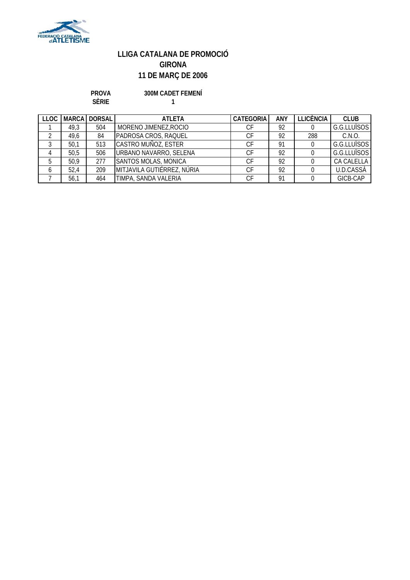

**PROVA 300M CADET FEMENÍ**

**SÈRIE 1**

| <b>LLOC</b> |      | <b>MARCA DORSAL</b> | <b>ATI FTA</b>             | <b>CATEGORIA</b> | <b>ANY</b> | LLICENCIA | <b>CLUB</b> |
|-------------|------|---------------------|----------------------------|------------------|------------|-----------|-------------|
|             | 49,3 | 504                 | MORENO JIMENEZ, ROCIO      | СF               | 92         |           | G.G.LLUÏSOS |
|             | 49,6 | 84                  | PADROSA CROS, RAQUEL       | СF               | 92         | 288       | C.N.O.      |
|             | 50,1 | 513                 | CASTRO MUÑOZ, ESTER        | СF               | <b>Q1</b>  |           | G.G.LLUÏSOS |
| 4           | 50,5 | 506                 | URBANO NAVARRO, SELENA     | СF               | 92         |           | G.G.LLUÏSOS |
| 5           | 50,9 | 277                 | SANTOS MOLAS, MONICA       | СF               | 92         |           | CA CALELLA  |
| 6           | 52,4 | 209                 | MITJAVILA GUTIÉRREZ, NÚRIA | СF               | 92         |           | U.D.CASSÀ   |
|             | 56,1 | 464                 | TIMPA, SANDA VALERIA       | СF               | 91         |           | GICB-CAP    |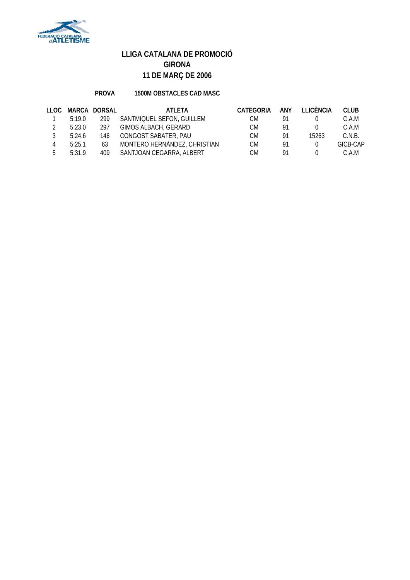

### **PROVA 1500M OBSTACLES CAD MASC**

| LLOC. |        | MARCA DORSAL | ATI FTA                      | CATEGORIA | <b>ANY</b> | <b>TTICÈNCIA</b> | <b>CLUB</b> |
|-------|--------|--------------|------------------------------|-----------|------------|------------------|-------------|
|       | 5:19.0 | 299          | SANTMIQUEL SEFON, GUILLEM    | СM        | -91        |                  | C.A.M       |
|       | 5:23.0 | 297          | GIMOS ALBACH, GERARD         | CM.       | 91         |                  | C.A.M       |
|       | 5:24.6 | 146          | CONGOST SABATER, PAU         | CM.       | 91         | 15263            | C.N.B.      |
|       | 5:25.1 | 63           | MONTERO HERNÁNDEZ, CHRISTIAN | CM.       | 91         |                  | GICB-CAP    |
| Б.    | 5:31.9 | 409          | SANTJOAN CEGARRA, ALBERT     | СM        | 91         |                  | C.A.M       |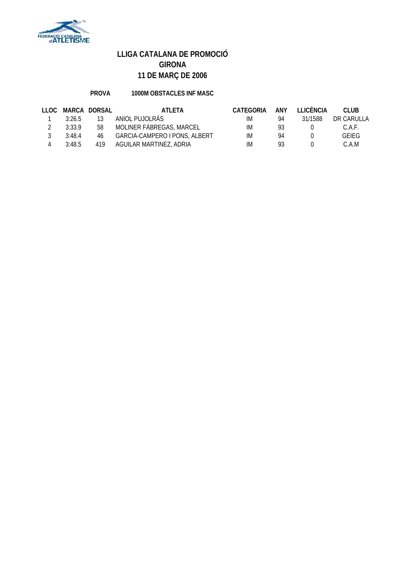

### **PROVA 1000M OBSTACLES INF MASC**

| LLOC |        | MARCA DORSAL | ATLETA                        | CATEGORIA | <b>ANY</b> | <b>TEICÈNCIA</b> | CLUB.        |
|------|--------|--------------|-------------------------------|-----------|------------|------------------|--------------|
|      | 3:26.5 | 13           | ANIOL PUJOLRAS                | IM        | 94         | 31/1588          | DR CARULLA   |
|      | 3:33.9 | 58           | MOLINER FABREGAS, MARCEL      | IM        | 93         |                  | C.A.F.       |
|      | 3:48.4 | 46           | GARCIA-CAMPERO I PONS, ALBERT | IM        | 94         |                  | <b>GEIFG</b> |
|      | 3:48.5 | 419          | AGUILAR MARTINEZ, ADRIA       | IМ        | 93         |                  | C.A.M        |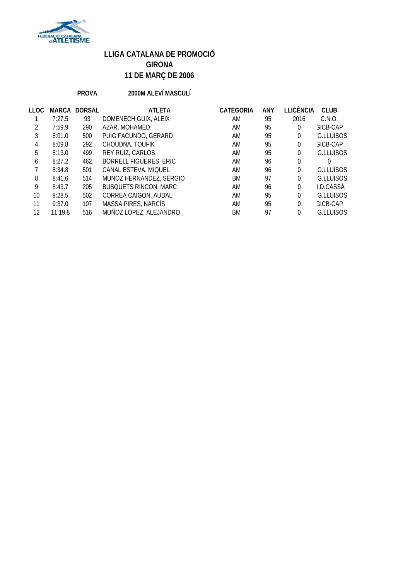

### **PROVA 2000M ALEVÍ MASCULÍ**

| LLOC          | <b>MARCA</b> | <b>DORSAL</b> | <b>ATLETA</b>                 | <b>CATEGORIA</b> | <b>ANY</b> | <b>LLICÈNCIA</b> | <b>CLUB</b>     |
|---------------|--------------|---------------|-------------------------------|------------------|------------|------------------|-----------------|
|               | 7:27.5       | 93            | DOMENECH GUIX, ALEIX          | AM               | 95         | 2016             | C.N.O.          |
| $\mathcal{P}$ | 7:59.9       | 290           | AZAR, MOHAMED                 | AM               | 95         | 0                | <b>GICB-CAP</b> |
| 3             | 8:01.0       | 500           | PUIG FACUNDO, GERARD          | AM               | 95         | 0                | G.LLUÏSOS       |
| 4             | 8:09.8       | 292           | CHOUDNA, TOUFIK               | AM               | 95         | 0                | <b>GICB-CAP</b> |
| 5             | 8:13.0       | 499           | REY RUIZ, CARLOS              | AM               | 95         | $\Omega$         | G.LLUÏSOS       |
| 6             | 8:27.2       | 462           | <b>BORRELL FIGUERES, ERIC</b> | AM               | 96         | 0                | 0               |
|               | 8:34.8       | 501           | CANAL ESTEVA, MIQUEL          | AM               | 96         | 0                | G.LLUÏSOS       |
| 8             | 8:41.6       | 514           | MUNOZ HERNANDEZ, SERGIO       | BM               | 97         | 0                | G.LLUÏSOS       |
| 9             | 8:43.7       | 205           | <b>BUSQUETS RINCON, MARC</b>  | AM               | 96         | $\Omega$         | I.D.CASSÀ       |
| 10            | 9:28.5       | 502           | CORREA CAIGON, AUDAL          | AM               | 95         | $\Omega$         | G.LLUÏSOS       |
| 11            | 9:37.0       | 107           | MASSA PIRES, NARCÍS           | AM               | 95         | $\Omega$         | <b>GICB-CAP</b> |
| 12            | 11:19.8      | 516           | MUÑOZ LOPEZ, ALEJANDRO        | ВM               | 97         |                  | G.LLUÏSOS       |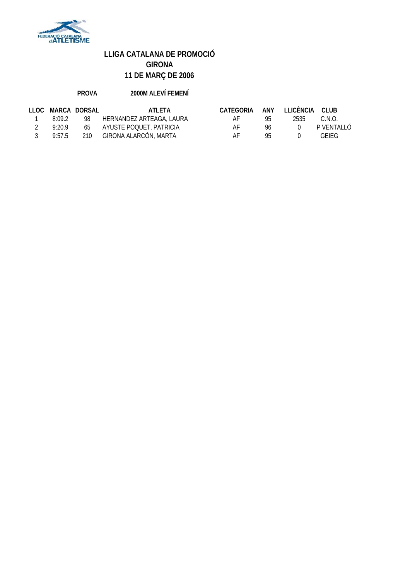

### **PROVA 2000M ALEVÍ FEMENÍ**

| LLOC. | MARCA DORSAL |     | ATI FTA                    | CATEGORIA | ANY | ILICÈNCIA CLUB |              |
|-------|--------------|-----|----------------------------|-----------|-----|----------------|--------------|
|       | 8:09.2       | 98  | HERNANDEZ ARTEAGA, LAURA   | AF        | 95  | 2535           | C.N.O.       |
|       | 9:20.9       |     | 65 AYUSTE POQUET, PATRICIA | AF        | 96  |                | P VENTALI Ó  |
|       | 9:57.5       | 210 | GIRONA ALARCÓN, MARTA      | AF        | 95  |                | <b>GEIFG</b> |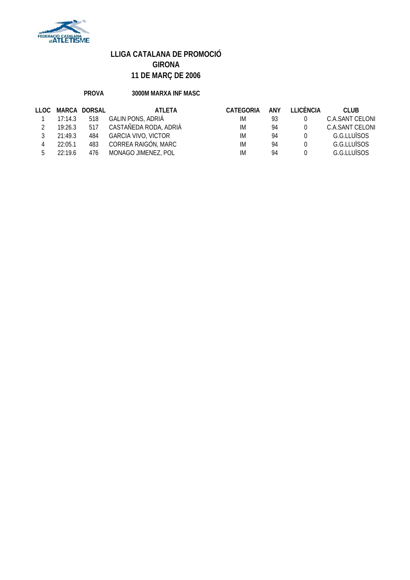

### **PROVA 3000M MARXA INF MASC**

| LLOC. |         | MARCA DORSAL | ATI FTA                    | <b>CATEGORIA</b> | ANY | <b>I LICÈNCIA</b> | CLUB.           |
|-------|---------|--------------|----------------------------|------------------|-----|-------------------|-----------------|
|       | 17:14.3 | 518          | GALIN PONS, ADRIÀ          | IM               | 93  |                   | C.A.SANT CELONI |
|       | 19:26.3 | 517          | CASTAÑEDA RODA, ADRIÀ      | IM               | 94  |                   | C.A.SANT CELONI |
|       | 21:49.3 | 484          | <b>GARCIA VIVO, VICTOR</b> | IM               | 94  |                   | G.G.ITUÏSOS     |
|       | 22:05.1 | 483          | CORREA RAIGÓN, MARC        | IM               | 94  |                   | G.G.LLUÏSOS     |
|       | 22.196  | 476          | MONAGO JIMENEZ, POL        | IM               | 94  |                   | G.G.LLUÏSOS     |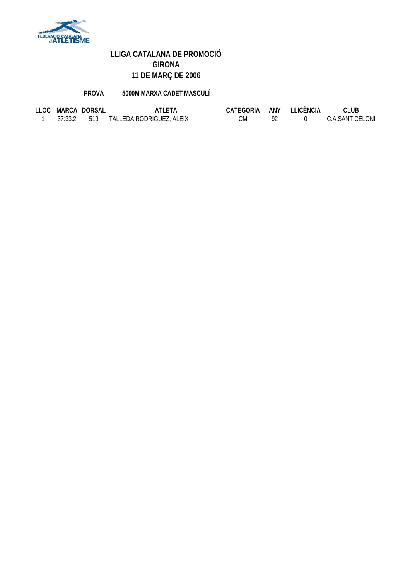

**PROVA 5000M MARXA CADET MASCULÍ**

|  | LLOC MARCA DORSAL | ATLETA                               | CATEGORIA ANY LLICÈNCIA |  | CLUB            |
|--|-------------------|--------------------------------------|-------------------------|--|-----------------|
|  |                   | 37:33.2 519 TALLEDA RODRIGUEZ, ALEIX | СM                      |  | C.A.SANT CELONI |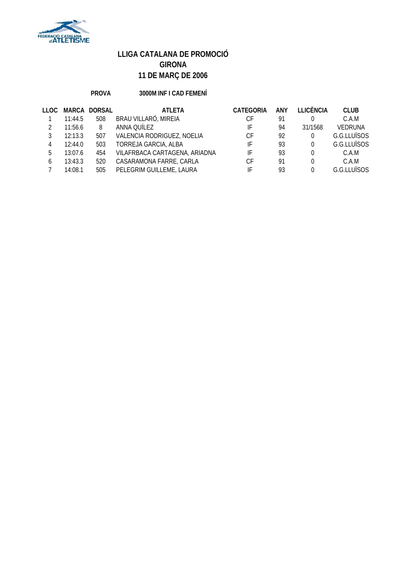

### **PROVA 3000M INF I CAD FEMENÍ**

| LLOC.        | MARCA   | <b>DORSAL</b> | <b>ATLETA</b>                 | <b>CATEGORIA</b> | ANY | <b>LLICÈNCIA</b> | <b>CLUB</b>    |
|--------------|---------|---------------|-------------------------------|------------------|-----|------------------|----------------|
|              | 11:44.5 | 508           | BRAU VILLARÓ, MIREIA          | СF               | 91  |                  | C.A.M          |
|              | 11:56.6 | 8             | ANNA QUÍLEZ                   | IF               | 94  | 31/1568          | <b>VEDRUNA</b> |
|              | 12:13.3 | 507           | VALENCIA RODRIGUEZ, NOELIA    | СF               | 92  | $\Omega$         | G.G.LLUÏSOS    |
| 4            | 12:44.0 | 503           | TORREJA GARCIA, ALBA          | IF               | 93  | $\Omega$         | G.G.LLUÏSOS    |
| 5            | 13:07.6 | 454           | VILAFRBACA CARTAGENA, ARIADNA | IF               | 93  | $\Omega$         | C.A.M          |
| <sub>b</sub> | 13:43.3 | 520           | CASARAMONA FARRE, CARLA       | СF               | 91  | 0                | C.A.M          |
|              | 14:08.1 | 505           | PELEGRIM GUILLEME, LAURA      | IF               | 93  | 0                | G.G.ITUÏSOS    |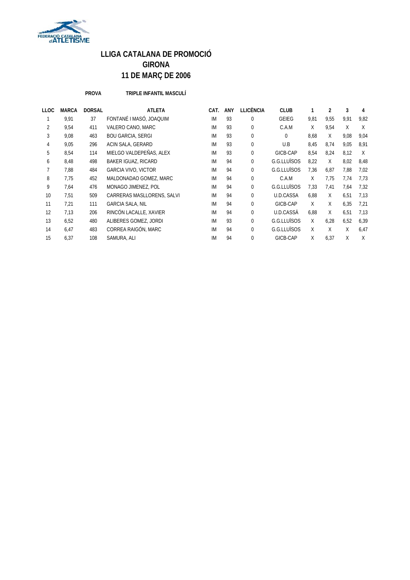

**PROVA TRIPLE INFANTIL MASCULÍ**

| LLOC | <b>MARCA</b> | <b>DORSAL</b> | <b>ATLETA</b>              | CAT.      | <b>ANY</b> | <b>LLICÈNCIA</b> | <b>CLUB</b>  | 1    | $\overline{2}$ | 3    | 4    |
|------|--------------|---------------|----------------------------|-----------|------------|------------------|--------------|------|----------------|------|------|
|      | 9,91         | 37            | FONTANÉ I MASÓ, JOAQUIM    | IM        | 93         | 0                | <b>GEIEG</b> | 9,81 | 9,55           | 9,91 | 9,82 |
| 2    | 9,54         | 411           | VALERO CANO, MARC          | IM        | 93         | 0                | C.A.M        | X    | 9,54           | X    | X    |
| 3    | 9,08         | 463           | <b>BOU GARCIA, SERGI</b>   | <b>IM</b> | 93         | 0                | $\Omega$     | 8,68 | X              | 9,08 | 9,04 |
| 4    | 9,05         | 296           | ACIN SALA, GERARD          | IM        | 93         | 0                | U.B          | 8,45 | 8.74           | 9,05 | 8,91 |
| 5    | 8,54         | 114           | MIELGO VALDEPEÑAS, ALEX    | IM        | 93         | 0                | GICB-CAP     | 8,54 | 8,24           | 8,12 | X    |
| 6    | 8.48         | 498           | <b>BAKER IGUAZ, RICARD</b> | <b>IM</b> | 94         | 0                | G.G.LLUÏSOS  | 8,22 | X              | 8,02 | 8,48 |
|      | 7,88         | 484           | <b>GARCIA VIVO, VICTOR</b> | IM        | 94         | 0                | G.G.LLUÏSOS  | 7,36 | 6,87           | 7,88 | 7,02 |
| 8    | 7.75         | 452           | MALDONADAO GOMEZ, MARC     | IM        | 94         | 0                | C.A.M        | X    | 7.75           | 7.74 | 7,73 |
| 9    | 7,64         | 476           | MONAGO JIMENEZ, POL        | IM        | 94         | 0                | G.G.LLUÏSOS  | 7,33 | 7,41           | 7,64 | 7,32 |
| 10   | 7,51         | 509           | CARRERAS MASLLORENS, SALVI | IM        | 94         | 0                | U.D.CASSA    | 6.88 | X              | 6,51 | 7.13 |
| 11   | 7,21         | 111           | <b>GARCIA SALA, NIL</b>    | IM        | 94         | 0                | GICB-CAP     | X    | X              | 6,35 | 7.21 |
| 12   | 7,13         | 206           | RINCÓN LACALLE, XAVIER     | IM        | 94         | 0                | U.D.CASSÀ    | 6,88 | X              | 6,51 | 7,13 |
| 13   | 6,52         | 480           | ALIBERES GOMEZ, JORDI      | IM        | 93         | 0                | G.G.LLUÏSOS  | X    | 6,28           | 6,52 | 6,39 |
| 14   | 6,47         | 483           | CORREA RAIGÓN, MARC        | IM        | 94         | 0                | G.G.LLUÏSOS  | X    | X              | X    | 6,47 |
| 15   | 6,37         | 108           | SAMURA, ALI                | IM        | 94         | 0                | GICB-CAP     | X    | 6,37           | X    | X    |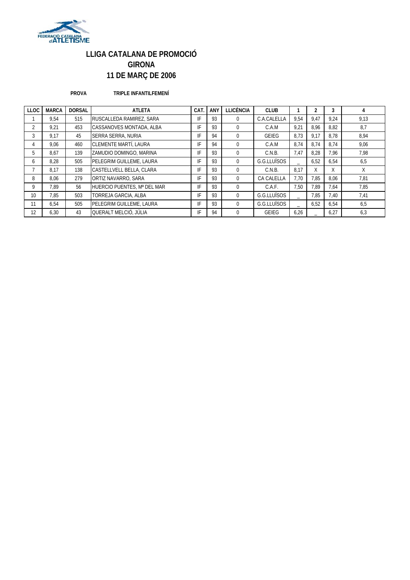

#### **PROVA TRIPLE INFANTILFEMENÍ**

| <b>LLOC</b>  | <b>MARCA</b> | <b>DORSAL</b> | <b>ATLETA</b>                   | CAT. | <b>ANY</b> | <b>LLICÈNCIA</b> | <b>CLUB</b>  |      |      | 3    | 4    |
|--------------|--------------|---------------|---------------------------------|------|------------|------------------|--------------|------|------|------|------|
|              | 9.54         | 515           | RUSCALLEDA RAMIREZ, SARA        | IF   | 93         | $\Omega$         | C.A.CALELLA  | 9.54 | 9.47 | 9.24 | 9.13 |
| <sup>1</sup> | 9.21         | 453           | CASSANOVES MONTADA, ALBA        | IF   | 93         | $\Omega$         | C.A.M        | 9.21 | 8.96 | 8.82 | 8,7  |
| 3            | 9.17         | 45            | <b>SERRA SERRA, NURIA</b>       | IF   | 94         | $\Omega$         | <b>GEIEG</b> | 8.73 | 9,17 | 8.78 | 8,94 |
|              | 9.06         | 460           | CLEMENTE MARTÍ, LAURA           | IF   | 94         | $\Omega$         | C.A.M        | 8.74 | 8.74 | 8.74 | 9.06 |
| 5.           | 8.67         | 139           | ZAMUDIO DOMINGO, MARINA         | IF   | 93         | $\Omega$         | C.N.B.       | 7.47 | 8.28 | 7.96 | 7,98 |
| 6            | 8.28         | 505           | PELEGRIM GUILLEME, LAURA        | IF   | 93         | $\Omega$         | G.G.LLUÏSOS  |      | 6,52 | 6.54 | 6,5  |
|              | 8.17         | 138           | CASTELLVELL BELLA, CLARA        | IF   | 93         | $\Omega$         | C.N.B.       | 8.17 | X    | X    | X    |
| 8            | 8.06         | 279           | ORTIZ NAVARRO, SARA             | IF   | 93         | $\Omega$         | CA CALELLA   | 7.70 | 7.85 | 8.06 | 7,81 |
| 9            | 7.89         | 56            | HUERCIO PUENTES, Mª DEL MAR     | IF   | 93         | $\Omega$         | C.A.F.       | 7.50 | 7.89 | 7.64 | 7.85 |
| 10           | 7.85         | 503           | TORREJA GARCIA, ALBA            | IF   | 93         | $\Omega$         | G.G.LLUÏSOS  |      | 7,85 | 7.40 | 7,41 |
| 11           | 6.54         | 505           | <b>PELEGRIM GUILLEME, LAURA</b> | IF   | 93         | $\Omega$         | G.G.LLUÏSOS  |      | 6,52 | 6.54 | 6,5  |
| 12           | 6.30         | 43            | QUERALT MELCIÓ, JÚLIA           | IF   | 94         | $\Omega$         | <b>GEIEG</b> | 6,26 |      | 6,27 | 6,3  |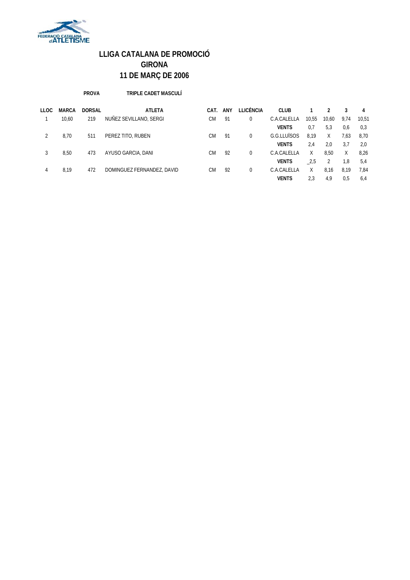

**PROVA TRIPLE CADET MASCULÍ**

| <b>LLOC</b> | <b>MARCA</b> | <b>DORSAL</b> | <b>ATLETA</b>              | CAT.      | ANY | LLICÈNCIA | <b>CLUB</b>  |       |       | 3    | 4     |
|-------------|--------------|---------------|----------------------------|-----------|-----|-----------|--------------|-------|-------|------|-------|
|             | 10.60        | 219           | NUÑEZ SEVILLANO, SERGI     | СM        | 91  |           | C.A.CALELLA  | 10,55 | 10,60 | 9,74 | 10.51 |
|             |              |               |                            |           |     |           | <b>VENTS</b> | 0.7   | 5,3   | 0,6  | 0,3   |
|             | 8,70         | 511           | PEREZ TITO, RUBEN          | СM        | 91  | 0         | G.G.LLUÏSOS  | 8,19  | Χ     | 7,63 | 8,70  |
|             |              |               |                            |           |     |           | <b>VENTS</b> | 2.4   | 2.0   | 3.7  | 2,0   |
| 3           | 8.50         | 473           | AYUSO GARCIA, DANI         | CM.       | 92  | 0         | C.A.CALELLA  | X     | 8.50  | X    | 8,26  |
|             |              |               |                            |           |     |           | <b>VENTS</b> | 2,5   | 2     | 1.8  | 5,4   |
| 4           | 8,19         | 472           | DOMINGUEZ FERNANDEZ, DAVID | <b>CM</b> | 92  |           | C.A.CALELLA  | Χ     | 8,16  | 8,19 | 7.84  |
|             |              |               |                            |           |     |           | <b>VENTS</b> | 2.3   | 4.9   | 0.5  | 6,4   |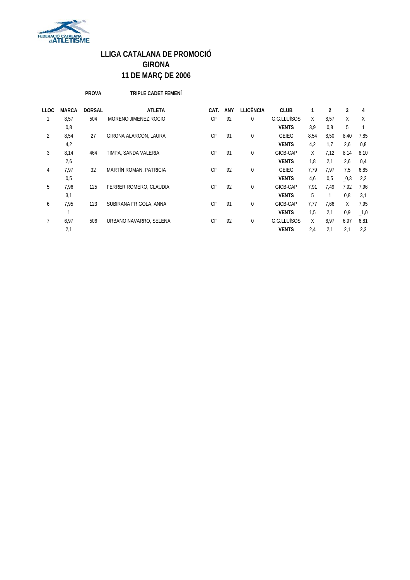

**PROVA TRIPLE CADET FEMENÍ**

| LLOC | <b>MARCA</b> | <b>DORSAL</b> | <b>ATLETA</b>          | CAT.      | <b>ANY</b> | <b>LLICÈNCIA</b> | <b>CLUB</b>  | 1    | 2    | 3            | 4       |
|------|--------------|---------------|------------------------|-----------|------------|------------------|--------------|------|------|--------------|---------|
| 1    | 8,57         | 504           | MORENO JIMENEZ.ROCIO   | <b>CF</b> | 92         | 0                | G.G.LLUÏSOS  | X    | 8,57 | X            | X       |
|      | 0,8          |               |                        |           |            |                  | <b>VENTS</b> | 3,9  | 0,8  | 5            |         |
| 2    | 8,54         | 27            | GIRONA ALARCÓN, LAURA  | <b>CF</b> | 91         | 0                | <b>GEIEG</b> | 8,54 | 8,50 | 8,40         | 7,85    |
|      | 4,2          |               |                        |           |            |                  | <b>VENTS</b> | 4,2  | 1.7  | 2,6          | 0,8     |
| 3    | 8,14         | 464           | TIMPA, SANDA VALERIA   | <b>CF</b> | 91         | 0                | GICB-CAP     | X    | 7.12 | 8,14         | 8,10    |
|      | 2,6          |               |                        |           |            |                  | <b>VENTS</b> | 1,8  | 2,1  | 2,6          | 0,4     |
| 4    | 7.97         | 32            | MARTÍN ROMAN, PATRICIA | <b>CF</b> | 92         | 0                | <b>GEIEG</b> | 7.79 | 7.97 | 7,5          | 6,85    |
|      | 0,5          |               |                        |           |            |                  | <b>VENTS</b> | 4,6  | 0,5  | $\sqrt{0.3}$ | 2,2     |
| 5    | 7.96         | 125           | FERRER ROMERO, CLAUDIA | <b>CF</b> | 92         | 0                | GICB-CAP     | 7.91 | 7.49 | 7.92         | 7,96    |
|      | 3,1          |               |                        |           |            |                  | <b>VENTS</b> | 5    | 1    | 0,8          | 3.1     |
| 6    | 7.95         | 123           | SUBIRANA FRIGOLA, ANNA | <b>CF</b> | 91         | 0                | GICB-CAP     | 7.77 | 7.66 | X            | 7,95    |
|      |              |               |                        |           |            |                  | <b>VENTS</b> | 1,5  | 2,1  | 0,9          | $\_1,0$ |
|      | 6.97         | 506           | URBANO NAVARRO, SELENA | CF        | 92         | 0                | G.G.LLUÏSOS  | X    | 6.97 | 6.97         | 6,81    |
|      | 2,1          |               |                        |           |            |                  | <b>VENTS</b> | 2,4  | 2,1  | 2,1          | 2,3     |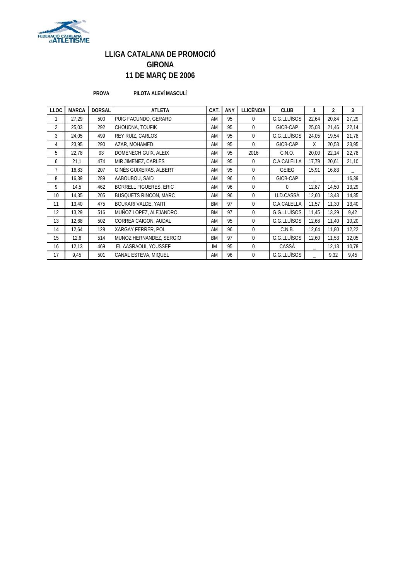

#### **PROVA PILOTA ALEVÍ MASCULÍ**

| <b>LLOC</b> | <b>MARCA</b> | <b>DORSAL</b> | <b>ATLETA</b>                 | CAT.      | ANY | <b>LLICÈNCIA</b> | <b>CLUB</b>  |       | $\overline{2}$    | 3     |
|-------------|--------------|---------------|-------------------------------|-----------|-----|------------------|--------------|-------|-------------------|-------|
|             | 27,29        | 500           | PUIG FACUNDO, GERARD          | AM        | 95  | $\Omega$         | G.G.LLUÏSOS  | 22,64 | 20,84             | 27,29 |
| 2           | 25,03        | 292           | CHOUDNA, TOUFIK               | AM        | 95  | $\Omega$         | GICB-CAP     | 25,03 | 21,46             | 22,14 |
| 3           | 24,05        | 499           | REY RUIZ, CARLOS              | AM        | 95  | $\Omega$         | G.G.LLUÏSOS  | 24,05 | 19,54             | 21,78 |
| 4           | 23,95        | 290           | AZAR, MOHAMED                 | AM        | 95  | $\Omega$         | GICB-CAP     | Χ     | 20,53             | 23,95 |
| 5           | 22,78        | 93            | DOMENECH GUIX, ALEIX          | AM        | 95  | 2016             | C.N.O.       | 20,00 | 22,14             | 22,78 |
| 6           | 21,1         | 474           | MIR JIMENEZ, CARLES           | AM        | 95  | $\Omega$         | C.A.CALELLA  | 17,79 | 20,61             | 21,10 |
| 7           | 16,83        | 207           | GINÉS GUIXERAS, ALBERT        | AM        | 95  | $\Omega$         | <b>GEIEG</b> | 15,91 | 16,83             | -     |
| 8           | 16,39        | 289           | AABOUBOU, SAID                | AM        | 96  | $\Omega$         | GICB-CAP     |       | $\qquad \qquad -$ | 16,39 |
| 9           | 14,5         | 462           | <b>BORRELL FIGUERES, ERIC</b> | AM        | 96  | $\Omega$         | $\Omega$     | 12,87 | 14,50             | 13,29 |
| 10          | 14,35        | 205           | <b>BUSQUETS RINCON, MARC</b>  | AM        | 96  | $\Omega$         | U.D.CASSA    | 12,60 | 13,43             | 14,35 |
| 11          | 13,40        | 475           | <b>BOUKARI VALDE, YAITI</b>   | <b>BM</b> | 97  | $\Omega$         | C.A.CALELLA  | 11,57 | 11,30             | 13,40 |
| 12          | 13,29        | 516           | MUÑOZ LOPEZ, ALEJANDRO        | <b>BM</b> | 97  | $\Omega$         | G.G.LLUÏSOS  | 11,45 | 13,29             | 9,42  |
| 13          | 12,68        | 502           | CORREA CAIGON, AUDAL          | AM        | 95  | $\Omega$         | G.G.LLUÏSOS  | 12,68 | 11,40             | 10,20 |
| 14          | 12,64        | 128           | XARGAY FERRER, POL            | AM        | 96  | $\Omega$         | C.N.B.       | 12,64 | 11,80             | 12,22 |
| 15          | 12,6         | 514           | MUNOZ HERNANDEZ, SERGIO       | <b>BM</b> | 97  | $\Omega$         | G.G.LLUÏSOS  | 12,60 | 11,53             | 12,05 |
| 16          | 12,13        | 469           | EL AASRAOUI, YOUSSEF          | IM        | 95  | $\Omega$         | CASSÀ        |       | 12,13             | 10,78 |
| 17          | 9,45         | 501           | CANAL ESTEVA, MIQUEL          | AM        | 96  | $\Omega$         | G.G.LLUÏSOS  |       | 9,32              | 9,45  |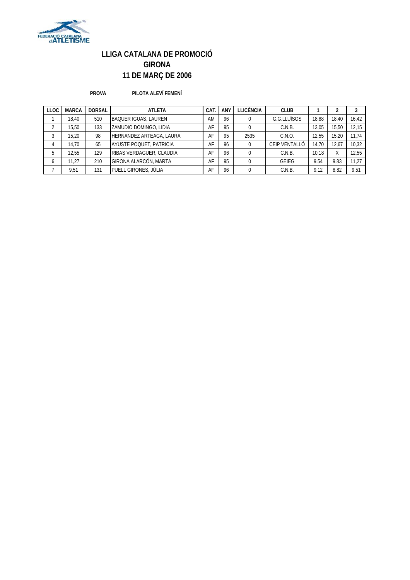

**PROVA PILOTA ALEVÍ FEMENÍ**

| <b>LLOC</b>  | <b>MARCA</b> | <b>DORSAL</b> | <b>ATLETA</b>               | CAT | ANY | <b>LLICÈNCIA</b> | <b>CLUB</b>   |       |       |       |
|--------------|--------------|---------------|-----------------------------|-----|-----|------------------|---------------|-------|-------|-------|
|              | 18.40        | 510           | <b>BAQUER IGUAS, LAUREN</b> | AM  | 96  |                  | G.G.LLUÏSOS   | 18.88 | 18.40 | 16,42 |
|              | 15.50        | 133           | ZAMUDIO DOMINGO, LIDIA      | AF  | 95  |                  | C.N.B.        | 13.05 | 15.50 | 12.15 |
| 3            | 15.20        | 98            | HERNANDEZ ARTEAGA, LAURA    | AF  | 95  | 2535             | C.N.O.        | 12.55 | 15.20 | 11.74 |
| 4            | 14.70        | 65            | AYUSTE POQUET, PATRICIA     | AF  | 96  |                  | CEIP VENTALLÓ | 14.70 | 12.67 | 10.32 |
| 5            | 12,55        | 129           | RIBAS VERDAGUER, CLAUDIA    | AF  | 96  |                  | C.N.B.        | 10.18 | X     | 12.55 |
| <sub>6</sub> | 11.27        | 210           | GIRONA ALARCÓN, MARTA       | AF  | 95  | $\Omega$         | <b>GEIEG</b>  | 9.54  | 9.83  | 11.27 |
|              | 9,51         | 131           | PUELL GIRONES, JÚLIA        | AF  | 96  |                  | C.N.B.        | 9,12  | 8,82  | 9,51  |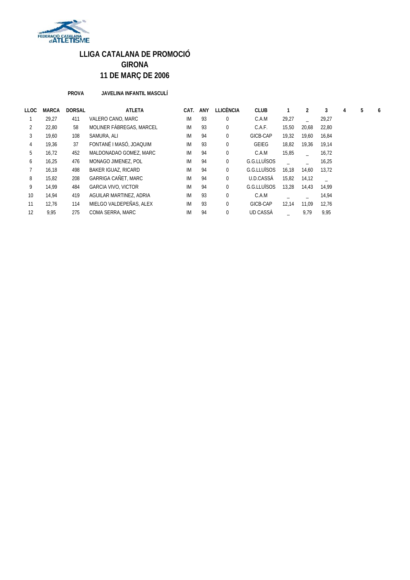

#### **PROVA JAVELINA INFANTIL MASCULÍ**

| LLOC | <b>MARCA</b> | <b>DORSAL</b> | <b>ATLETA</b>              | CAT.      | ANY | <b>LLICÈNCIA</b> | <b>CLUB</b>  |       |       | 3     | 4 | 5 | 6 |
|------|--------------|---------------|----------------------------|-----------|-----|------------------|--------------|-------|-------|-------|---|---|---|
|      | 29.27        | 411           | VALERO CANO, MARC          | IM        | 93  | $\mathbf{0}$     | C.A.M        | 29,27 |       | 29,27 |   |   |   |
|      | 22.80        | 58            | MOLINER FABREGAS, MARCEL   | IM        | 93  | $\mathbf{0}$     | C.A.F.       | 15,50 | 20,68 | 22,80 |   |   |   |
| 3    | 19,60        | 108           | SAMURA, ALI                | IM        | 94  | $\boldsymbol{0}$ | GICB-CAP     | 19,32 | 19,60 | 16,84 |   |   |   |
| 4    | 19.36        | 37            | FONTANÉ I MASÓ, JOAQUIM    | IM        | 93  | $\mathbf{0}$     | <b>GEIEG</b> | 18.82 | 19.36 | 19.14 |   |   |   |
| 5    | 16,72        | 452           | MALDONADAO GOMEZ, MARC     | <b>IM</b> | 94  | $\mathbf{0}$     | C.A.M        | 15,85 |       | 16,72 |   |   |   |
| 6    | 16,25        | 476           | MONAGO JIMENEZ, POL        | IM        | 94  | $\mathbf 0$      | G.G.LLUÏSOS  |       |       | 16,25 |   |   |   |
|      | 16,18        | 498           | BAKER IGUAZ, RICARD        | <b>IM</b> | 94  | 0                | G.G.LLUÏSOS  | 16,18 | 14,60 | 13.72 |   |   |   |
| 8    | 15.82        | 208           | <b>GARRIGA CAÑET, MARC</b> | <b>IM</b> | 94  | $\mathbf 0$      | U.D.CASSA    | 15.82 | 14.12 |       |   |   |   |
| 9    | 14.99        | 484           | <b>GARCIA VIVO, VICTOR</b> | <b>IM</b> | 94  | 0                | G.G.LLUÏSOS  | 13,28 | 14,43 | 14.99 |   |   |   |
| 10   | 14.94        | 419           | AGUILAR MARTINEZ, ADRIA    | <b>IM</b> | 93  | $\mathbf{0}$     | C.A.M        |       |       | 14,94 |   |   |   |
| 11   | 12.76        | 114           | MIELGO VALDEPEÑAS, ALEX    | <b>IM</b> | 93  | $\mathbf{0}$     | GICB-CAP     | 12,14 | 11,09 | 12,76 |   |   |   |
| 12   | 9.95         | 275           | COMA SERRA, MARC           | IM        | 94  | $\mathbf{0}$     | UD CASSA     |       | 9,79  | 9.95  |   |   |   |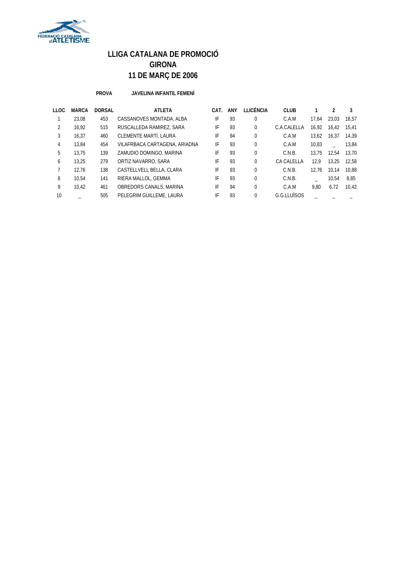

#### **PROVA JAVELINA INFANTIL FEMENÍ**

| LLOC | <b>MARCA</b> | <b>DORSAL</b> | <b>ATLETA</b>                 | CAT. | ANY | LLICÈNCIA    | <b>CLUB</b> |       |       | 3     |
|------|--------------|---------------|-------------------------------|------|-----|--------------|-------------|-------|-------|-------|
|      | 23.08        | 453           | CASSANOVES MONTADA, ALBA      | IF   | 93  | $\Omega$     | C.A.M       | 17.64 | 23.03 | 18.57 |
| 2    | 16.92        | 515           | RUSCALLEDA RAMIREZ, SARA      | IF   | 93  | $\mathbf{0}$ | C.A.CALELLA | 16.92 | 16.42 | 15.41 |
| 3    | 16.37        | 460           | CLEMENTE MARTÍ, LAURA         | IF   | 94  | 0            | C.A.M       | 13.62 | 16.37 | 14.39 |
| 4    | 13,84        | 454           | VILAFRBACA CARTAGENA, ARIADNA | IF   | 93  | 0            | C.A.M       | 10.83 |       | 13.84 |
| 5    | 13.75        | 139           | ZAMUDIO DOMINGO, MARINA       | IF   | 93  | $\Omega$     | C.N.B.      | 13.75 | 12.54 | 13.70 |
| 6    | 13,25        | 279           | ORTIZ NAVARRO, SARA           | IF   | 93  | $\mathbf{0}$ | CA CALELLA  | 12.9  | 13.25 | 12,58 |
|      | 12.76        | 138           | CASTELLVELL BELLA, CLARA      | IF   | 93  | $\Omega$     | C.N.B.      | 12.76 | 10.14 | 10.88 |
| 8    | 10.54        | 141           | RIERA MALLOL, GEMMA           | IF   | 93  | $\Omega$     | C.N.B.      |       | 10.54 | 8,85  |
| 9    | 10.42        | 461           | OBREDORS CANALS, MARINA       | IF   | 94  | $\Omega$     | C.A.M       | 9.80  | 6.72  | 10.42 |
| 10   |              | 505           | PELEGRIM GUILLEME, LAURA      | IF   | 93  | $\Omega$     | G.G.LLUÏSOS |       |       |       |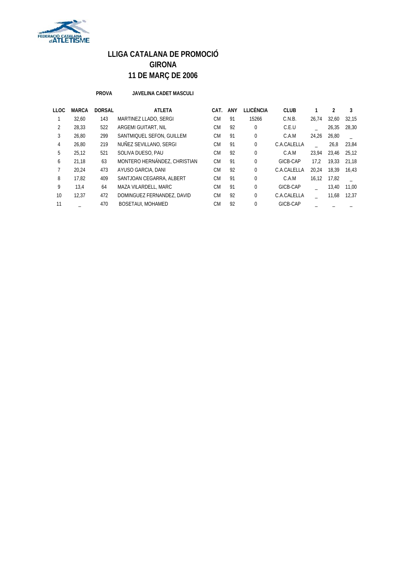

**PROVA JAVELINA CADET MASCULI**

| LLOC | <b>MARCA</b> | <b>DORSAL</b> | <b>ATLETA</b>                | CAT.      | ANY | LLICÈNCIA    | <b>CLUB</b> |       |       |       |
|------|--------------|---------------|------------------------------|-----------|-----|--------------|-------------|-------|-------|-------|
|      | 32,60        | 143           | MARTINEZ LLADO, SERGI        | <b>CM</b> | 91  | 15266        | C.N.B.      | 26.74 | 32,60 | 32,15 |
| 2    | 28,33        | 522           | ARGEMI GUITART. NIL          | <b>CM</b> | 92  | $\Omega$     | C.E.U       |       | 26,35 | 28.30 |
| 3    | 26,80        | 299           | SANTMIQUEL SEFON, GUILLEM    | <b>CM</b> | 91  | 0            | C.A.M       | 24.26 | 26,80 |       |
| 4    | 26.80        | 219           | NUÑEZ SEVILLANO, SERGI       | <b>CM</b> | 91  | $\Omega$     | C.A.CALELLA |       | 26,8  | 23.84 |
| 5    | 25,12        | 521           | SOLIVA DUESO, PAU            | <b>CM</b> | 92  | $\mathbf{0}$ | C.A.M       | 23.94 | 23.46 | 25.12 |
| 6    | 21.18        | 63            | MONTERO HERNÁNDEZ, CHRISTIAN | <b>CM</b> | 91  | $\Omega$     | GICB-CAP    | 17.2  | 19.33 | 21.18 |
|      | 20.24        | 473           | AYUSO GARCIA, DANI           | <b>CM</b> | 92  | $\Omega$     | C.A.CALELLA | 20.24 | 18.39 | 16.43 |
| 8    | 17.82        | 409           | SANTJOAN CEGARRA, ALBERT     | <b>CM</b> | 91  | 0            | C.A.M       | 16.12 | 17.82 |       |
| 9    | 13,4         | 64            | MAZA VILARDELL, MARC         | <b>CM</b> | 91  | 0            | GICB-CAP    |       | 13,40 | 11.00 |
| 10   | 12.37        | 472           | DOMINGUEZ FERNANDEZ, DAVID   | <b>CM</b> | 92  | $\Omega$     | C.A.CALELLA |       | 11,68 | 12,37 |
| 11   |              | 470           | <b>BOSETAUI, MOHAMED</b>     | <b>CM</b> | 92  | $\Omega$     | GICB-CAP    |       |       |       |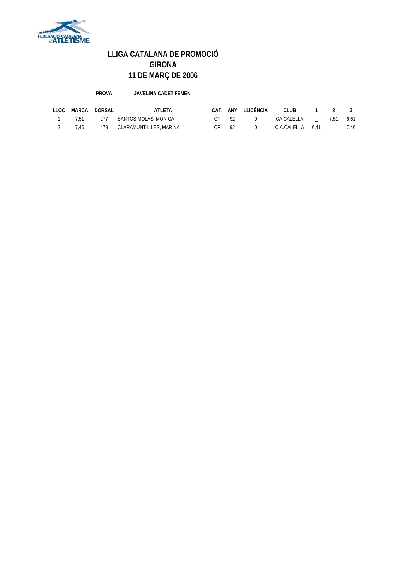

**PROVA JAVELINA CADET FEMENI**

| LLOC | MARCA | DORSAL | ATI FTA                     |        |     | CAT. ANY LLICÈNCIA | CLUB             | $1 \quad 2 \quad 3$ |      |
|------|-------|--------|-----------------------------|--------|-----|--------------------|------------------|---------------------|------|
|      | 751   |        | 277 SANTOS MOLAS, MONICA    | C.F 92 |     |                    | CA CALELLA       | 7.51 6.61           |      |
|      | 7 46  |        | 479 CLARAMUNT ILLES, MARINA |        | -92 |                    | C.A.CALELLA 6.41 |                     | 7.46 |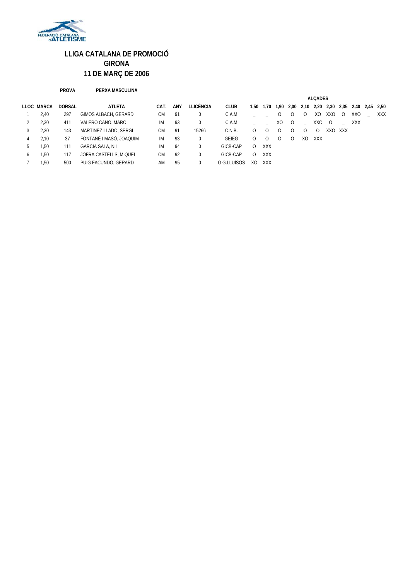

#### **PROVA PERXA MASCULINA**

|              |            |               |                         |           |     |             |             | <b>ALCADES</b> |            |    |          |                  |            |              |         |                                              |  |     |
|--------------|------------|---------------|-------------------------|-----------|-----|-------------|-------------|----------------|------------|----|----------|------------------|------------|--------------|---------|----------------------------------------------|--|-----|
|              | LLOC MARCA | <b>DORSAL</b> | ATLETA                  | CAT.      | ANY | LLICÈNCIA   | <b>CLUB</b> |                | 1,50 1,70  |    |          |                  |            |              |         | 1,90 2,00 2,10 2,20 2,30 2,35 2,40 2,45 2,50 |  |     |
|              | 2,40       | 297           | GIMOS ALBACH, GERARD    | <b>CM</b> | 91  | 0           | C.A.M       |                |            | 0  | $\Omega$ | 0                | XO         | XXO          | $\circ$ | XXO                                          |  | XXX |
| 2            | 2,30       | 411           | VALERO CANO, MARC       | IM        | 93  | $\mathbf 0$ | C.A.M       |                |            | XO | $\circ$  |                  | XXO        | <sup>O</sup> |         | XXX                                          |  |     |
| 3            | 2,30       | 143           | MARTINEZ LLADO, SERGI   | <b>CM</b> | 91  | 15266       | C.N.B.      | Ω              | $\Omega$   |    |          | $\left( \right)$ | $\Omega$   | XXO          | XXX     |                                              |  |     |
| 4            | 2,10       | 37            | FONTANÉ I MASÓ, JOAQUIM | IM        | 93  | 0           | GEIEG       | Ω              | $\Omega$   |    | $\Omega$ | XO               | <b>XXX</b> |              |         |                                              |  |     |
| b.           | 1.50       | 111           | <b>GARCIA SALA, NIL</b> | IM        | 94  | 0           | GICB-CAP    | $\Omega$       | <b>XXX</b> |    |          |                  |            |              |         |                                              |  |     |
| <sub>0</sub> | 1,50       | 117           | JOFRA CASTELLS, MIQUEL  | СM        | 92  | 0           | GICB-CAP    | $\Omega$       | <b>XXX</b> |    |          |                  |            |              |         |                                              |  |     |
|              | 1.50       | 500           | PUIG FACUNDO, GERARD    | AM        | 95  | 0           | G.G.LLUÏSOS | XO             | <b>XXX</b> |    |          |                  |            |              |         |                                              |  |     |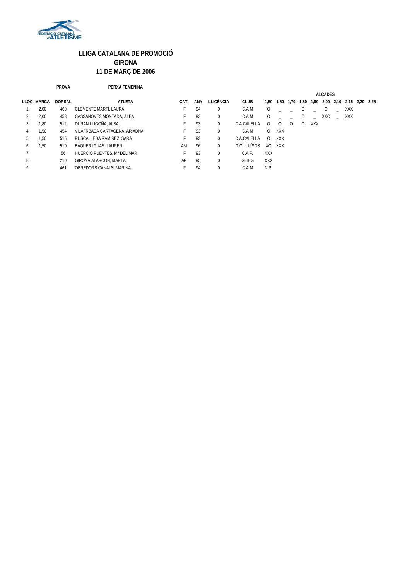

#### **PROVA PERXA FEMENINA**

|              |            |               |                               |      |     |              |                |                | <b>ALCADES</b> |          |      |            |     |                          |  |  |
|--------------|------------|---------------|-------------------------------|------|-----|--------------|----------------|----------------|----------------|----------|------|------------|-----|--------------------------|--|--|
|              | LLOC MARCA | <b>DORSAL</b> | <b>ATLETA</b>                 | CAT. | ANY | LLICÈNCIA    | <b>CLUB</b>    | 1.50           | 1,60           | 1.70     | 1,80 | 1,90       |     | 2,00 2,10 2,15 2,20 2,25 |  |  |
|              | 2,00       | 460           | CLEMENTE MARTÍ, LAURA         | IF   | 94  | 0            | C.A.M          | 0              |                |          | 0    |            | 0   | <b>XXX</b>               |  |  |
|              | 2,00       | 453           | CASSANOVES MONTADA, ALBA      | IF   | 93  | $\mathbf{0}$ | C.A.M          | 0              |                |          | O    |            | XXO | XXX                      |  |  |
|              | 1,80       | 512           | DURAN LLIGOÑA, ALBA           | IF   | 93  | 0            | C.A.CAI FI I A | $^{(1)}$       | $\Omega$       | $\Omega$ | 0    | <b>XXX</b> |     |                          |  |  |
| 4            | 1.50       | 454           | VILAFRBACA CARTAGENA, ARIADNA | IF   | 93  | $\mathbf{0}$ | C.A.M          | $\Omega$       | <b>XXX</b>     |          |      |            |     |                          |  |  |
| 5            | 1.50       | 515           | RUSCALLEDA RAMIREZ, SARA      | IF   | 93  | $\Omega$     | C.A.CALELLA    | $\Omega$       | <b>XXX</b>     |          |      |            |     |                          |  |  |
| <sub>0</sub> | 1,50       | 510           | <b>BAQUER IGUAS, LAUREN</b>   | AM   | 96  | $\mathbf{0}$ | G.G.ITUÏSOS    | X <sub>O</sub> | <b>XXX</b>     |          |      |            |     |                          |  |  |
|              |            | 56            | HUERCIO PUENTES. Mª DEL MAR   | IF   | 93  | $\mathbf{0}$ | C.A.F.         | <b>XXX</b>     |                |          |      |            |     |                          |  |  |
| 8            |            | 210           | GIRONA ALARCÓN, MARTA         | AF   | 95  | $\Omega$     | GEIEG          | <b>XXX</b>     |                |          |      |            |     |                          |  |  |
| 9            |            | 461           | OBREDORS CANALS, MARINA       | IF   | 94  | $\mathbf{0}$ | C.A.M          | N.P.           |                |          |      |            |     |                          |  |  |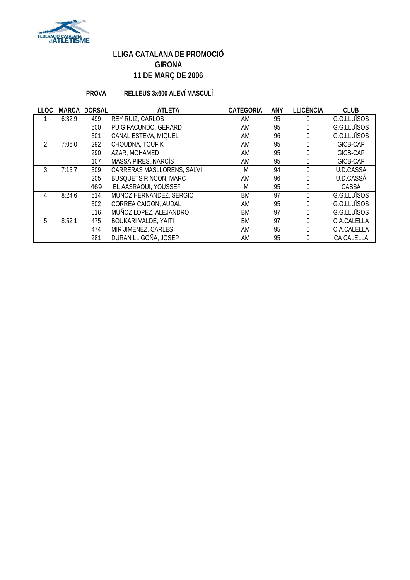

### **PROVA RELLEUS 3x600 ALEVÍ MASCULÍ**

| <b>LLOC</b> | <b>MARCA</b> | <b>DORSAL</b> | <b>ATLETA</b>                | <b>CATEGORIA</b> | <b>ANY</b> | <b>LLICÈNCIA</b> | <b>CLUB</b> |
|-------------|--------------|---------------|------------------------------|------------------|------------|------------------|-------------|
|             | 6:32.9       | 499           | <b>REY RUIZ, CARLOS</b>      | AM               | 95         | 0                | G.G.LLUÏSOS |
|             |              | 500           | PUIG FACUNDO, GERARD         | AM               | 95         | 0                | G.G.LLUÏSOS |
|             |              | 501           | CANAL ESTEVA, MIQUEL         | AM               | 96         | 0                | G.G.LLUÏSOS |
|             | 7:05.0       | 292           | CHOUDNA, TOUFIK              | AM               | 95         | 0                | GICB-CAP    |
|             |              | 290           | AZAR, MOHAMED                | AM               | 95         | 0                | GICB-CAP    |
|             |              | 107           | MASSA PIRES, NARCÍS          | AM               | 95         | 0                | GICB-CAP    |
|             | 7:15.7       | 509           | CARRERAS MASLLORENS, SALVI   | IM               | 94         | $\theta$         | U.D.CASSA   |
|             |              | 205           | <b>BUSQUETS RINCON, MARC</b> | AM               | 96         | 0                | U.D.CASSÀ   |
|             |              | 469           | EL AASRAOUI, YOUSSEF         | IM               | 95         | 0                | CASSA       |
| 4           | 8:24.6       | 514           | MUNOZ HERNANDEZ, SERGIO      | BM               | 97         | $\Omega$         | G.G.LLUÏSOS |
|             |              | 502           | CORREA CAIGON, AUDAL         | AM               | 95         | 0                | G.G.LLUÏSOS |
|             |              | 516           | MUÑOZ LOPEZ, ALEJANDRO       | BM               | 97         | 0                | G.G.LLUÏSOS |
| 5.          | 8:52.1       | 475           | <b>BOUKARI VALDE, YAITI</b>  | <b>BM</b>        | 97         | $\Omega$         | C.A.CALELLA |
|             |              | 474           | MIR JIMENEZ, CARLES          | AM               | 95         | 0                | C.A.CALELLA |
|             |              | 281           | DURAN LLIGOÑA, JOSEP         | AM               | 95         | 0                | CA CALELLA  |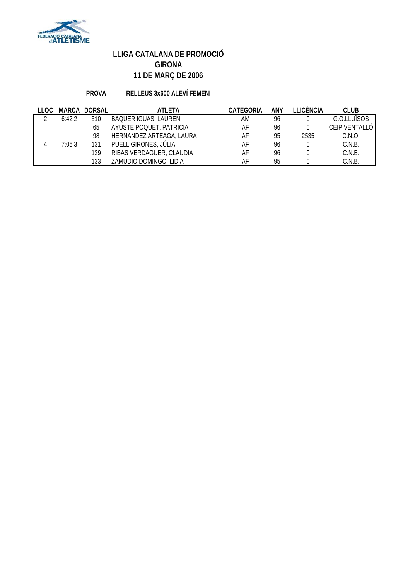

### **PROVA RELLEUS 3x600 ALEVÍ FEMENI**

| LLOC |        | MARCA DORSAL | <b>ATLETA</b>               | CATEGORIA | ANY | I LICÈNCIA | <b>CLUB</b>   |
|------|--------|--------------|-----------------------------|-----------|-----|------------|---------------|
|      | 6:42.2 | 510          | <b>BAQUER IGUAS, LAUREN</b> | ΑM        | 96  |            | G.G.LLUÏSOS   |
|      |        | 65           | AYUSTE POQUET, PATRICIA     | AF        | 96  |            | CEIP VENTALLÓ |
|      |        | 98           | HERNANDEZ ARTEAGA, LAURA    | AF        | 95  | 2535       | C.N.O.        |
|      | 7:05.3 | 131          | PUELL GIRONES, JÚLIA        | AF        | 96  |            | C.N.B.        |
|      |        | 129          | RIBAS VERDAGUER, CLAUDIA    | AF        | 96  |            | C.N.B.        |
|      |        | 133          | ZAMUDIO DOMINGO, LIDIA      | AF        | 95  |            | C.N.B.        |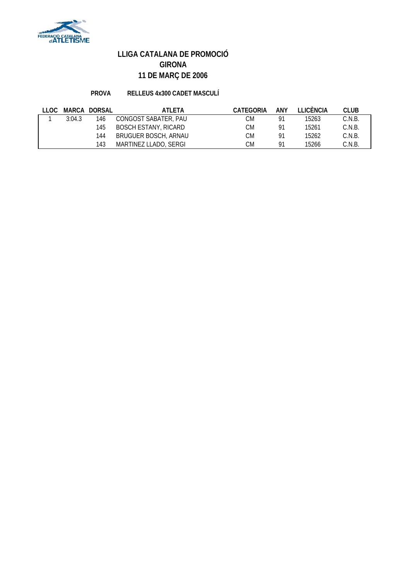

### **PROVA RELLEUS 4x300 CADET MASCULÍ**

| LLOC. |        | MARCA DORSAL | ATLETA                      | <b>CATEGORIA</b> | ANY | <b>TEICÈNCIA</b> | <b>CLUB</b> |
|-------|--------|--------------|-----------------------------|------------------|-----|------------------|-------------|
|       | 3:04.3 | 146          | CONGOST SABATER, PAU        | СM               | O1  | 15263            | C.N.B.      |
|       |        | 145          | <b>BOSCH ESTANY, RICARD</b> | СM               | 01  | 15261            | C.N.B.      |
|       |        | 144          | <b>BRUGUER BOSCH, ARNAU</b> | СM               | 01  | 15262            | C.N.B.      |
|       |        | 143          | MARTINEZ LLADO, SERGI       | СM               | O   | 15266            | C.N.B.      |